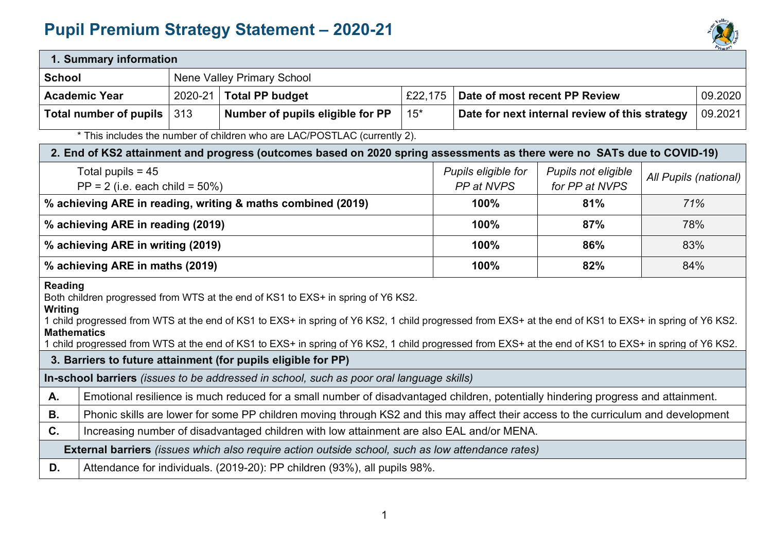## **Pupil Premium Strategy Statement – 2020-21**



| 1. Summary information                                                                                                                                                                                                                                                                                                                                                                                                                                |                                                                                                                                    |                            |                                                                                                                         |                                   |                                       |                                                           |         |  |
|-------------------------------------------------------------------------------------------------------------------------------------------------------------------------------------------------------------------------------------------------------------------------------------------------------------------------------------------------------------------------------------------------------------------------------------------------------|------------------------------------------------------------------------------------------------------------------------------------|----------------------------|-------------------------------------------------------------------------------------------------------------------------|-----------------------------------|---------------------------------------|-----------------------------------------------------------|---------|--|
| <b>School</b>                                                                                                                                                                                                                                                                                                                                                                                                                                         |                                                                                                                                    | Nene Valley Primary School |                                                                                                                         |                                   |                                       |                                                           |         |  |
|                                                                                                                                                                                                                                                                                                                                                                                                                                                       | $2020 - 21$<br><b>Total PP budget</b><br><b>Academic Year</b>                                                                      |                            | £22,175                                                                                                                 |                                   | Date of most recent PP Review         |                                                           | 09.2020 |  |
|                                                                                                                                                                                                                                                                                                                                                                                                                                                       | <b>Total number of pupils</b>                                                                                                      | 313                        | Number of pupils eligible for PP                                                                                        | $15*$                             |                                       | 09.2021<br>Date for next internal review of this strategy |         |  |
|                                                                                                                                                                                                                                                                                                                                                                                                                                                       |                                                                                                                                    |                            | * This includes the number of children who are LAC/POSTLAC (currently 2).                                               |                                   |                                       |                                                           |         |  |
|                                                                                                                                                                                                                                                                                                                                                                                                                                                       |                                                                                                                                    |                            | 2. End of KS2 attainment and progress (outcomes based on 2020 spring assessments as there were no SATs due to COVID-19) |                                   |                                       |                                                           |         |  |
| Total pupils = $45$<br>$PP = 2$ (i.e. each child = 50%)                                                                                                                                                                                                                                                                                                                                                                                               |                                                                                                                                    |                            |                                                                                                                         | Pupils eligible for<br>PP at NVPS | Pupils not eligible<br>for PP at NVPS | All Pupils (national)                                     |         |  |
|                                                                                                                                                                                                                                                                                                                                                                                                                                                       |                                                                                                                                    |                            | % achieving ARE in reading, writing & maths combined (2019)                                                             |                                   | 100%                                  | 81%                                                       | 71%     |  |
|                                                                                                                                                                                                                                                                                                                                                                                                                                                       | % achieving ARE in reading (2019)                                                                                                  |                            |                                                                                                                         |                                   | 100%                                  | 87%                                                       | 78%     |  |
|                                                                                                                                                                                                                                                                                                                                                                                                                                                       | % achieving ARE in writing (2019)                                                                                                  |                            |                                                                                                                         |                                   | 100%                                  | 86%                                                       | 83%     |  |
| % achieving ARE in maths (2019)                                                                                                                                                                                                                                                                                                                                                                                                                       |                                                                                                                                    |                            |                                                                                                                         | 100%                              | 82%                                   | 84%                                                       |         |  |
| <b>Reading</b><br>Both children progressed from WTS at the end of KS1 to EXS+ in spring of Y6 KS2.<br>Writing<br>1 child progressed from WTS at the end of KS1 to EXS+ in spring of Y6 KS2, 1 child progressed from EXS+ at the end of KS1 to EXS+ in spring of Y6 KS2.<br><b>Mathematics</b><br>child progressed from WTS at the end of KS1 to EXS+ in spring of Y6 KS2, 1 child progressed from EXS+ at the end of KS1 to EXS+ in spring of Y6 KS2. |                                                                                                                                    |                            |                                                                                                                         |                                   |                                       |                                                           |         |  |
| 3. Barriers to future attainment (for pupils eligible for PP)                                                                                                                                                                                                                                                                                                                                                                                         |                                                                                                                                    |                            |                                                                                                                         |                                   |                                       |                                                           |         |  |
| In-school barriers (issues to be addressed in school, such as poor oral language skills)                                                                                                                                                                                                                                                                                                                                                              |                                                                                                                                    |                            |                                                                                                                         |                                   |                                       |                                                           |         |  |
| A.                                                                                                                                                                                                                                                                                                                                                                                                                                                    | Emotional resilience is much reduced for a small number of disadvantaged children, potentially hindering progress and attainment.  |                            |                                                                                                                         |                                   |                                       |                                                           |         |  |
| <b>B.</b>                                                                                                                                                                                                                                                                                                                                                                                                                                             | Phonic skills are lower for some PP children moving through KS2 and this may affect their access to the curriculum and development |                            |                                                                                                                         |                                   |                                       |                                                           |         |  |
| C.<br>Increasing number of disadvantaged children with low attainment are also EAL and/or MENA.                                                                                                                                                                                                                                                                                                                                                       |                                                                                                                                    |                            |                                                                                                                         |                                   |                                       |                                                           |         |  |
| <b>External barriers</b> (issues which also require action outside school, such as low attendance rates)                                                                                                                                                                                                                                                                                                                                              |                                                                                                                                    |                            |                                                                                                                         |                                   |                                       |                                                           |         |  |
| D.                                                                                                                                                                                                                                                                                                                                                                                                                                                    | Attendance for individuals. (2019-20): PP children (93%), all pupils 98%.                                                          |                            |                                                                                                                         |                                   |                                       |                                                           |         |  |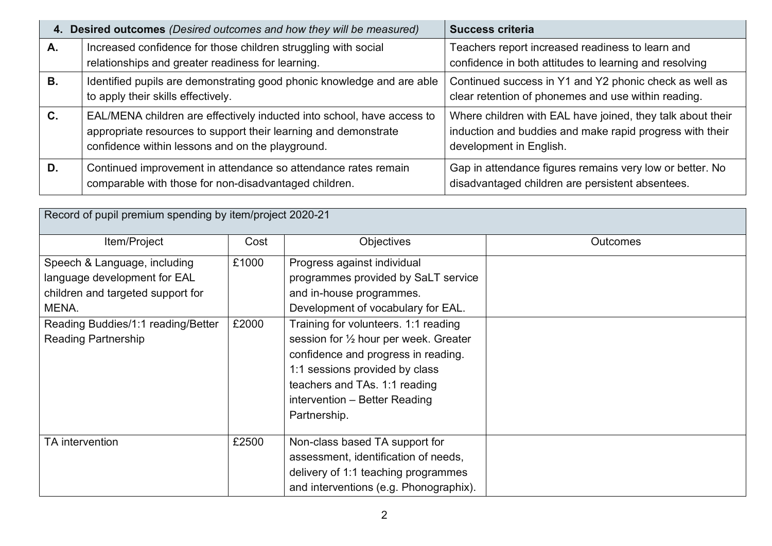|                | 4. Desired outcomes (Desired outcomes and how they will be measured)                                                                                                                          | <b>Success criteria</b>                                                                                                                           |  |  |
|----------------|-----------------------------------------------------------------------------------------------------------------------------------------------------------------------------------------------|---------------------------------------------------------------------------------------------------------------------------------------------------|--|--|
| А.             | Increased confidence for those children struggling with social                                                                                                                                | Teachers report increased readiness to learn and                                                                                                  |  |  |
|                | relationships and greater readiness for learning.                                                                                                                                             | confidence in both attitudes to learning and resolving                                                                                            |  |  |
| <b>B.</b>      | Identified pupils are demonstrating good phonic knowledge and are able<br>to apply their skills effectively.                                                                                  | Continued success in Y1 and Y2 phonic check as well as<br>clear retention of phonemes and use within reading.                                     |  |  |
| $\mathbf{C}$ . | EAL/MENA children are effectively inducted into school, have access to<br>appropriate resources to support their learning and demonstrate<br>confidence within lessons and on the playground. | Where children with EAL have joined, they talk about their<br>induction and buddies and make rapid progress with their<br>development in English. |  |  |
| D.             | Continued improvement in attendance so attendance rates remain<br>comparable with those for non-disadvantaged children.                                                                       | Gap in attendance figures remains very low or better. No<br>disadvantaged children are persistent absentees.                                      |  |  |

| Record of pupil premium spending by item/project 2020-21                                                                                                                       |                |                                                                                                                                                                                                                                                                                                                                                                                             |          |  |
|--------------------------------------------------------------------------------------------------------------------------------------------------------------------------------|----------------|---------------------------------------------------------------------------------------------------------------------------------------------------------------------------------------------------------------------------------------------------------------------------------------------------------------------------------------------------------------------------------------------|----------|--|
| Item/Project                                                                                                                                                                   | Cost           | <b>Objectives</b>                                                                                                                                                                                                                                                                                                                                                                           | Outcomes |  |
| Speech & Language, including<br>language development for EAL<br>children and targeted support for<br>MENA.<br>Reading Buddies/1:1 reading/Better<br><b>Reading Partnership</b> | £1000<br>£2000 | Progress against individual<br>programmes provided by SaLT service<br>and in-house programmes.<br>Development of vocabulary for EAL.<br>Training for volunteers. 1:1 reading<br>session for $\frac{1}{2}$ hour per week. Greater<br>confidence and progress in reading.<br>1:1 sessions provided by class<br>teachers and TAs. 1:1 reading<br>intervention - Better Reading<br>Partnership. |          |  |
| TA intervention                                                                                                                                                                | £2500          | Non-class based TA support for<br>assessment, identification of needs,<br>delivery of 1:1 teaching programmes<br>and interventions (e.g. Phonographix).                                                                                                                                                                                                                                     |          |  |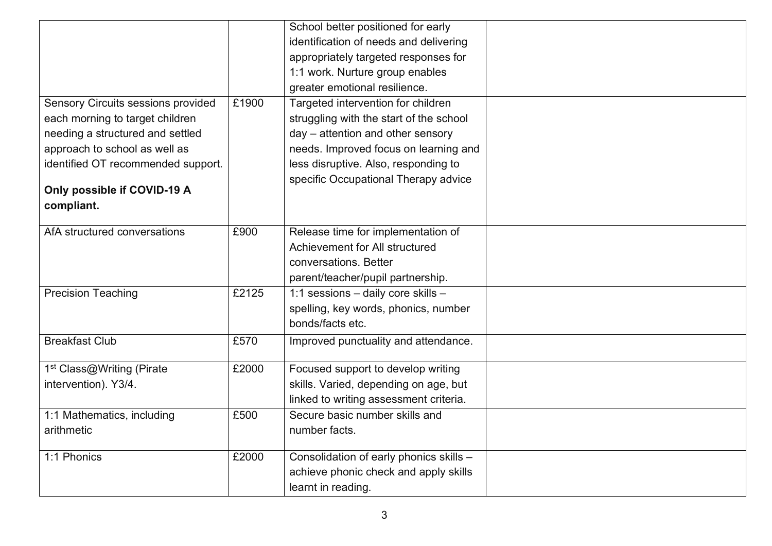|                                       |       | School better positioned for early      |  |
|---------------------------------------|-------|-----------------------------------------|--|
|                                       |       | identification of needs and delivering  |  |
|                                       |       | appropriately targeted responses for    |  |
|                                       |       | 1:1 work. Nurture group enables         |  |
|                                       |       | greater emotional resilience.           |  |
| Sensory Circuits sessions provided    | £1900 | Targeted intervention for children      |  |
| each morning to target children       |       | struggling with the start of the school |  |
| needing a structured and settled      |       | day - attention and other sensory       |  |
| approach to school as well as         |       | needs. Improved focus on learning and   |  |
| identified OT recommended support.    |       | less disruptive. Also, responding to    |  |
|                                       |       | specific Occupational Therapy advice    |  |
| Only possible if COVID-19 A           |       |                                         |  |
| compliant.                            |       |                                         |  |
| AfA structured conversations          | £900  | Release time for implementation of      |  |
|                                       |       | Achievement for All structured          |  |
|                                       |       | conversations. Better                   |  |
|                                       |       |                                         |  |
|                                       |       | parent/teacher/pupil partnership.       |  |
| <b>Precision Teaching</b>             | £2125 | 1:1 sessions - daily core skills -      |  |
|                                       |       | spelling, key words, phonics, number    |  |
|                                       |       | bonds/facts etc.                        |  |
| <b>Breakfast Club</b>                 | £570  | Improved punctuality and attendance.    |  |
|                                       |       |                                         |  |
| 1 <sup>st</sup> Class@Writing (Pirate | £2000 | Focused support to develop writing      |  |
| intervention). Y3/4.                  |       | skills. Varied, depending on age, but   |  |
|                                       |       | linked to writing assessment criteria.  |  |
| 1:1 Mathematics, including            | £500  | Secure basic number skills and          |  |
| arithmetic                            |       | number facts.                           |  |
| 1:1 Phonics                           | £2000 | Consolidation of early phonics skills - |  |
|                                       |       | achieve phonic check and apply skills   |  |
|                                       |       | learnt in reading.                      |  |